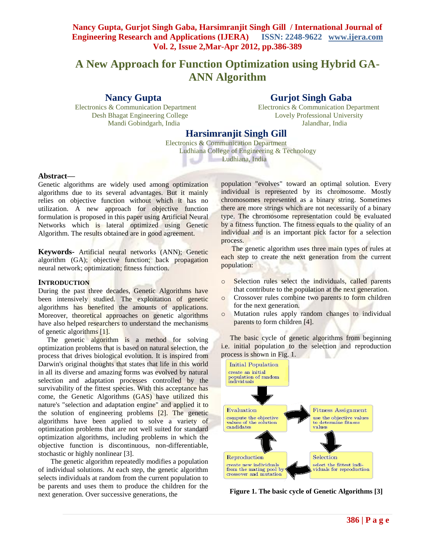# **Nancy Gupta, Gurjot Singh Gaba, Harsimranjit Singh Gill / International Journal of Engineering Research and Applications (IJERA) ISSN: 2248-9622 www.ijera.com Vol. 2, Issue 2,Mar-Apr 2012, pp.386-389**

# **A New Approach for Function Optimization using Hybrid GA-ANN Algorithm**

# **Nancy Gupta** Gurjot Singh Gaba

Electronics & Communication Department Electronics & Communication Department Desh Bhagat Engineering College Lovely Professional University Mandi Gobindgarh, India Jalandhar, India

# **Harsimranjit Singh Gill**

Electronics & Communication Department Ludhiana College of Engineering & Technology Ludhiana, India

### **Abstract—**

Genetic algorithms are widely used among optimization algorithms due to its several advantages. But it mainly relies on objective function without which it has no utilization. A new approach for objective function formulation is proposed in this paper using Artificial Neural Networks which is lateral optimized using Genetic Algorithm. The results obtained are in good agreement.

**Keywords-** Artificial neural networks (ANN); Genetic algorithm (GA); objective function; back propagation neural network; optimization; fitness function.

#### **INTRODUCTION**

During the past three decades, Genetic Algorithms have been intensively studied. The exploitation of genetic algorithms has benefited the amounts of applications. Moreover, theoretical approaches on genetic algorithms have also helped researchers to understand the mechanisms of genetic algorithms [1].

The genetic algorithm is a method for solving optimization problems that is based on natural selection, the process that drives biological evolution. It is inspired from Darwin's original thoughts that states that life in this world in all its diverse and amazing forms was evolved by natural selection and adaptation processes controlled by the survivability of the fittest species. With this acceptance has come, the Genetic Algorithms (GAS) have utilized this nature's "selection and adaptation engine" and applied it to the solution of engineering problems [2]. The genetic algorithms have been applied to solve a variety of optimization problems that are not well suited for standard optimization algorithms, including problems in which the objective function is discontinuous, non-differentiable, stochastic or highly nonlinear [3].

 The genetic algorithm repeatedly modifies a population of individual solutions. At each step, the genetic algorithm selects individuals at random from the current population to be parents and uses them to produce the children for the next generation. Over successive generations, the

population "evolves" toward an optimal solution. Every individual is represented by its chromosome. Mostly chromosomes represented as a binary string. Sometimes there are more strings which are not necessarily of a binary type. The chromosome representation could be evaluated by a fitness function. The fitness equals to the quality of an individual and is an important pick factor for a selection process.

 The genetic algorithm uses three main types of rules at each step to create the next generation from the current population:

- o Selection rules select the individuals, called parents that contribute to the population at the next generation.
- o Crossover rules combine two parents to form children for the next generation.
- o Mutation rules apply random changes to individual parents to form children [4].

 The basic cycle of genetic algorithms from beginning i.e. initial population to the selection and reproduction process is shown in Fig. 1.



**Figure 1. The basic cycle of Genetic Algorithms [3]**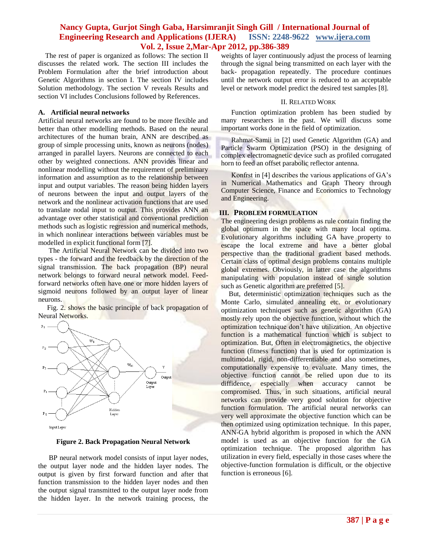## **Nancy Gupta, Gurjot Singh Gaba, Harsimranjit Singh Gill / International Journal of Engineering Research and Applications (IJERA) ISSN: 2248-9622 www.ijera.com Vol. 2, Issue 2,Mar-Apr 2012, pp.386-389**

 The rest of paper is organized as follows: The section II discusses the related work. The section III includes the Problem Formulation after the brief introduction about Genetic Algorithms in section I. The section IV includes Solution methodology. The section V reveals Results and section VI includes Conclusions followed by References.

#### **A. Artificial neural networks**

Artificial neural networks are found to be more flexible and better than other modelling methods. Based on the neural architectures of the human brain, ANN are described as group of simple processing units, known as neurons (nodes) arranged in parallel layers. Neurons are connected to each other by weighted connections. ANN provides linear and nonlinear modelling without the requirement of preliminary information and assumption as to the relationship between input and output variables. The reason being hidden layers of neurons between the input and output layers of the network and the nonlinear activation functions that are used to translate nodal input to output. This provides ANN an advantage over other statistical and conventional prediction methods such as logistic regression and numerical methods, in which nonlinear interactions between variables must be modelled in explicit functional form [7].

 The Artificial Neural Network can be divided into two types - the forward and the feedback by the direction of the signal transmission. The back propagation (BP) neural network belongs to forward neural network model. Feedforward networks often have one or more hidden layers of sigmoid neurons followed by an output layer of linear neurons.

 Fig. 2. shows the basic principle of back propagation of Neural Networks.



**Figure 2. Back Propagation Neural Network**

 BP neural network model consists of input layer nodes, the output layer node and the hidden layer nodes. The output is given by first forward function and after that function transmission to the hidden layer nodes and then the output signal transmitted to the output layer node from the hidden layer. In the network training process, the weights of layer continuously adjust the process of learning through the signal being transmitted on each layer with the back- propagation repeatedly. The procedure continues until the network output error is reduced to an acceptable level or network model predict the desired test samples [8].

#### II. RELATED WORK

Function optimization problem has been studied by many researchers in the past. We will discuss some important works done in the field of optimization.

Rahmat-Samii in [2] used Genetic Algorithm (GA) and Particle Swarm Optimization (PSO) in the designing of complex electromagnetic device such as profiled corrugated horn to feed an offset parabolic reflector antenna.

Konfrst in [4] describes the various applications of GA"s in Numerical Mathematics and Graph Theory through Computer Science, Finance and Economics to Technology and Engineering.

#### **III. PROBLEM FORMULATION**

The engineering design problems as rule contain finding the global optimum in the space with many local optima. Evolutionary algorithms including GA have property to escape the local extreme and have a better global perspective than the traditional gradient based methods. Certain class of optimal design problems contains multiple global extremes. Obviously, in latter case the algorithms manipulating with population instead of single solution such as Genetic algorithm are preferred [5].

But, deterministic optimization techniques such as the Monte Carlo, simulated annealing etc. or evolutionary optimization techniques such as genetic algorithm (GA) mostly rely upon the objective function, without which the optimization technique don"t have utilization. An objective function is a mathematical function which is subject to optimization. But, Often in electromagnetics, the objective function (fitness function) that is used for optimization is multimodal, rigid, non-differentiable and also sometimes, computationally expensive to evaluate. Many times, the objective function cannot be relied upon due to its diffidence, especially when accuracy cannot be compromised. Thus, in such situations, artificial neural networks can provide very good solution for objective function formulation. The artificial neural networks can very well approximate the objective function which can be then optimized using optimization technique. In this paper, ANN-GA hybrid algorithm is proposed in which the ANN model is used as an objective function for the GA optimization technique. The proposed algorithm has utilization in every field, especially in those cases where the objective-function formulation is difficult, or the objective function is erroneous [6].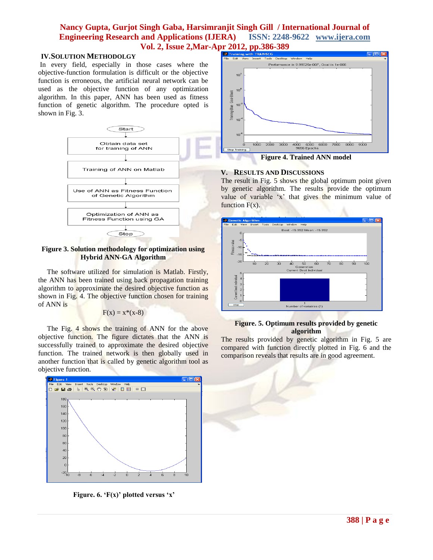# **Nancy Gupta, Gurjot Singh Gaba, Harsimranjit Singh Gill / International Journal of Engineering Research and Applications (IJERA) ISSN: 2248-9622 www.ijera.com Vol. 2, Issue 2, Mar-Apr 2012, pp.386-389**<br>**Experiming with TRAINSCG**<br>Red Edit Wew Insert Tools Desktop

### **IV.SOLUTION METHODOLGY**

In every field, especially in those cases where the objective-function formulation is difficult or the objective function is erroneous, the artificial neural network can be used as the objective function of any optimization algorithm. In this paper, ANN has been used as fitness function of genetic algorithm. The procedure opted is shown in Fig. 3.



**Figure 3. Solution methodology for optimization using Hybrid ANN-GA Algorithm**

 The software utilized for simulation is Matlab. Firstly, the ANN has been trained using back propagation training algorithm to approximate the desired objective function as shown in Fig. 4. The objective function chosen for training of ANN is

$$
F(x) = x^*(x-8)
$$

 The Fig. 4 shows the training of ANN for the above objective function. The figure dictates that the ANN is successfully trained to approximate the desired objective function. The trained network is then globally used in another function that is called by genetic algorithm tool as objective function.



**Figure. 6. 'F(x)' plotted versus 'x'**



**Figure 4. Trained ANN model**

## **V. RESULTS AND DISCUSSIONS**

The result in Fig. 5 shows the global optimum point given by genetic algorithm. The results provide the optimum value of variable 'x' that gives the minimum value of function  $F(x)$ .



### **Figure. 5. Optimum results provided by genetic algorithm**

The results provided by genetic algorithm in Fig. 5 are compared with function directly plotted in Fig. 6 and the comparison reveals that results are in good agreement.